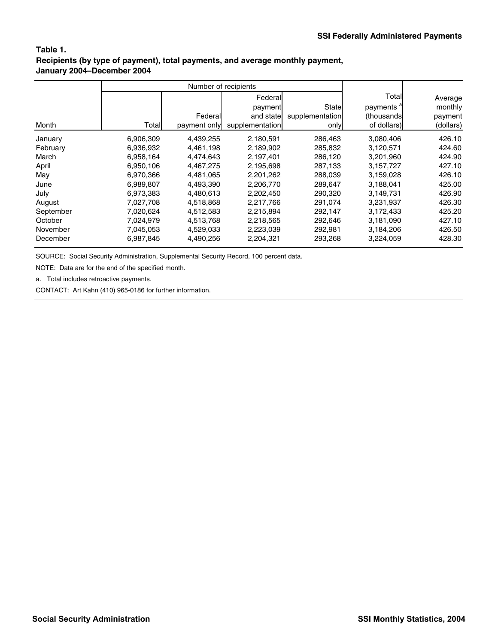# **Table 1. Recipients (by type of payment), total payments, and average monthly payment, January 2004–December 2004**

|           | Number of recipients |              |                 |                 |                       |           |
|-----------|----------------------|--------------|-----------------|-----------------|-----------------------|-----------|
|           |                      |              | Federal         |                 | Total                 | Average   |
|           |                      |              | payment         | State           | payments <sup>a</sup> | monthly   |
|           |                      | Federal      | and state       | supplementation | (thousands)           | payment   |
| Month     | Totall               | payment only | supplementation | only            | of dollars)           | (dollars) |
| January   | 6,906,309            | 4,439,255    | 2,180,591       | 286,463         | 3,080,406             | 426.10    |
| February  | 6,936,932            | 4,461,198    | 2,189,902       | 285,832         | 3,120,571             | 424.60    |
| March     | 6,958,164            | 4,474,643    | 2,197,401       | 286,120         | 3,201,960             | 424.90    |
| April     | 6,950,106            | 4,467,275    | 2,195,698       | 287,133         | 3,157,727             | 427.10    |
| May       | 6,970,366            | 4,481,065    | 2,201,262       | 288,039         | 3,159,028             | 426.10    |
| June      | 6,989,807            | 4,493,390    | 2,206,770       | 289,647         | 3,188,041             | 425.00    |
| July      | 6,973,383            | 4,480,613    | 2,202,450       | 290,320         | 3,149,731             | 426.90    |
| August    | 7,027,708            | 4,518,868    | 2,217,766       | 291,074         | 3,231,937             | 426.30    |
| September | 7,020,624            | 4,512,583    | 2,215,894       | 292,147         | 3,172,433             | 425.20    |
| October   | 7,024,979            | 4,513,768    | 2,218,565       | 292,646         | 3,181,090             | 427.10    |
| November  | 7,045,053            | 4,529,033    | 2,223,039       | 292,981         | 3,184,206             | 426.50    |
| December  | 6,987,845            | 4,490,256    | 2,204,321       | 293,268         | 3,224,059             | 428.30    |

SOURCE: Social Security Administration, Supplemental Security Record, 100 percent data.

NOTE: Data are for the end of the specified month.

a. Total includes retroactive payments.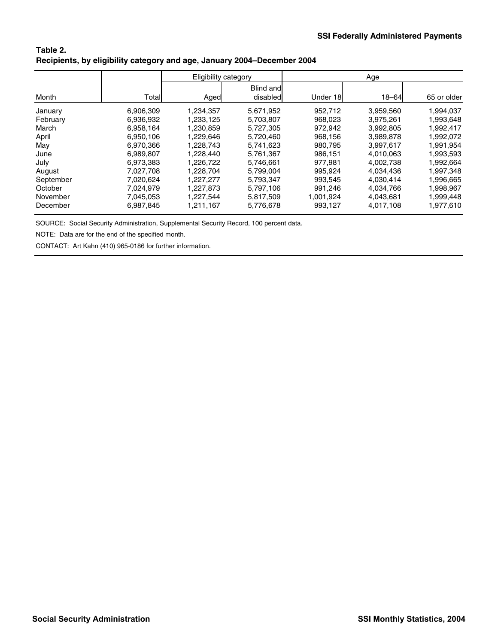| Table 2.                                                                |  |
|-------------------------------------------------------------------------|--|
| Recipients, by eligibility category and age, January 2004–December 2004 |  |

|           |           |           | Eligibility category  | Age       |           |             |
|-----------|-----------|-----------|-----------------------|-----------|-----------|-------------|
| Month     | Total     | Aged      | Blind and<br>disabled | Under 18  | $18 - 64$ | 65 or older |
| January   | 6,906,309 | 1,234,357 | 5,671,952             | 952.712   | 3,959,560 | 1,994,037   |
| February  | 6.936.932 | 1.233.125 | 5,703,807             | 968.023   | 3.975.261 | 1,993,648   |
| March     | 6.958.164 | 1,230,859 | 5,727,305             | 972.942   | 3.992.805 | 1,992,417   |
| April     | 6,950,106 | 1.229.646 | 5,720,460             | 968.156   | 3,989,878 | 1,992,072   |
| May       | 6.970.366 | 1.228.743 | 5.741.623             | 980.795   | 3,997,617 | 1,991,954   |
| June      | 6,989,807 | 1,228,440 | 5,761,367             | 986,151   | 4,010,063 | 1,993,593   |
| July      | 6,973,383 | 1,226,722 | 5,746,661             | 977.981   | 4,002,738 | 1,992,664   |
| August    | 7.027.708 | 1.228.704 | 5,799,004             | 995.924   | 4.034.436 | 1,997,348   |
| September | 7.020.624 | 1.227.277 | 5,793,347             | 993.545   | 4,030,414 | 1,996,665   |
| October   | 7.024.979 | 1.227.873 | 5.797.106             | 991.246   | 4.034.766 | 1,998,967   |
| November  | 7.045.053 | 1,227,544 | 5,817,509             | 1,001,924 | 4,043,681 | 1,999,448   |
| December  | 6,987,845 | 1,211,167 | 5,776,678             | 993,127   | 4.017.108 | 1,977,610   |

SOURCE: Social Security Administration, Supplemental Security Record, 100 percent data.

NOTE: Data are for the end of the specified month.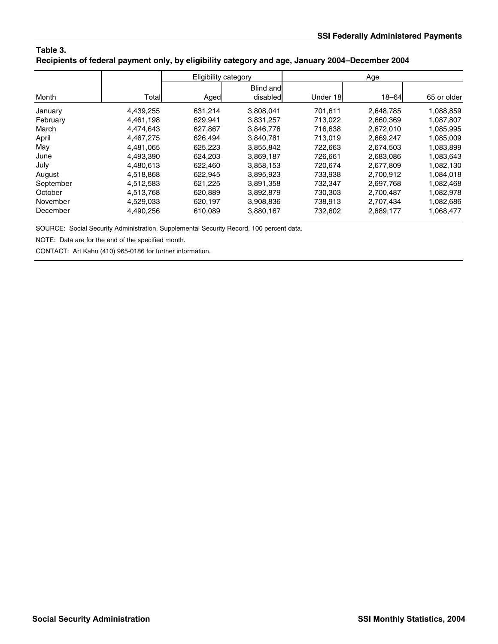### **Table 3. Recipients of federal payment only, by eligibility category and age, January 2004–December 2004**

|           |           | Eligibility category |                              | Age      |           |             |
|-----------|-----------|----------------------|------------------------------|----------|-----------|-------------|
| Month     | Total     | Aged                 | <b>Blind and</b><br>disabled | Under 18 | $18 - 64$ | 65 or older |
|           |           |                      |                              |          |           |             |
| January   | 4,439,255 | 631,214              | 3,808,041                    | 701.611  | 2,648,785 | 1,088,859   |
| February  | 4,461,198 | 629,941              | 3,831,257                    | 713,022  | 2,660,369 | 1,087,807   |
| March     | 4.474.643 | 627.867              | 3,846,776                    | 716.638  | 2,672,010 | 1,085,995   |
| April     | 4.467.275 | 626.494              | 3.840.781                    | 713.019  | 2,669,247 | 1,085,009   |
| May       | 4.481.065 | 625,223              | 3,855,842                    | 722.663  | 2,674,503 | 1,083,899   |
| June      | 4,493,390 | 624,203              | 3,869,187                    | 726,661  | 2,683,086 | 1,083,643   |
| July      | 4.480.613 | 622.460              | 3,858,153                    | 720.674  | 2.677.809 | 1,082,130   |
| August    | 4,518,868 | 622.945              | 3,895,923                    | 733.938  | 2.700.912 | 1,084,018   |
| September | 4,512,583 | 621,225              | 3,891,358                    | 732,347  | 2,697,768 | 1,082,468   |
| October   | 4,513,768 | 620,889              | 3,892,879                    | 730,303  | 2,700,487 | 1,082,978   |
| November  | 4,529,033 | 620,197              | 3,908,836                    | 738,913  | 2,707,434 | 1,082,686   |
| December  | 4,490,256 | 610,089              | 3,880,167                    | 732,602  | 2,689,177 | 1,068,477   |

SOURCE: Social Security Administration, Supplemental Security Record, 100 percent data.

NOTE: Data are for the end of the specified month.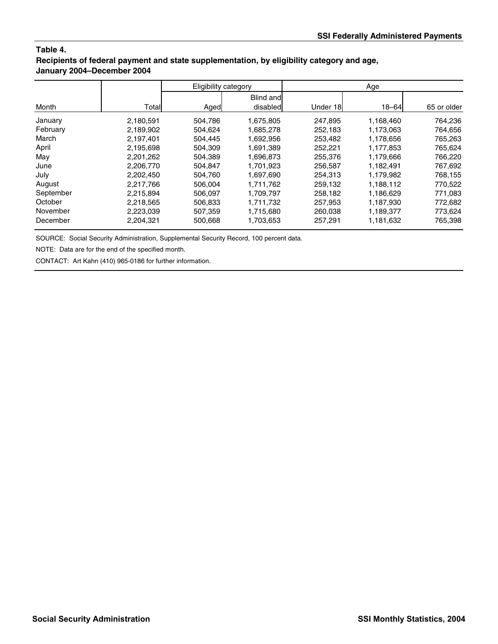## **Table 4. Recipients of federal payment and state supplementation, by eligibility category and age, January 2004–December 2004**

| Month     |           | Eligibility category |                              | Age      |           |             |  |
|-----------|-----------|----------------------|------------------------------|----------|-----------|-------------|--|
|           | Total     | Aged                 | <b>Blind and</b><br>disabled | Under 18 | $18 - 64$ | 65 or older |  |
| January   | 2,180,591 | 504,786              | 1,675,805                    | 247.895  | 1.168.460 | 764,236     |  |
| February  | 2,189,902 | 504,624              | 1,685,278                    | 252,183  | 1,173,063 | 764,656     |  |
| March     | 2.197.401 | 504.445              | 1.692.956                    | 253.482  | 1.178.656 | 765.263     |  |
| April     | 2,195,698 | 504.309              | 1,691,389                    | 252.221  | 1,177,853 | 765,624     |  |
| May       | 2,201,262 | 504,389              | 1,696,873                    | 255,376  | 1,179,666 | 766,220     |  |
| June      | 2,206,770 | 504,847              | 1,701,923                    | 256,587  | 1,182,491 | 767,692     |  |
| July      | 2.202.450 | 504.760              | 1.697.690                    | 254.313  | 1.179.982 | 768.155     |  |
| August    | 2,217,766 | 506,004              | 1.711.762                    | 259,132  | 1,188,112 | 770,522     |  |
| September | 2,215,894 | 506,097              | 1,709,797                    | 258,182  | 1,186,629 | 771,083     |  |
| October   | 2,218,565 | 506,833              | 1,711,732                    | 257,953  | 1,187,930 | 772,682     |  |
| November  | 2,223,039 | 507,359              | 1,715,680                    | 260.038  | 1,189,377 | 773,624     |  |
| December  | 2,204,321 | 500.668              | 1,703,653                    | 257.291  | 1,181,632 | 765,398     |  |

SOURCE: Social Security Administration, Supplemental Security Record, 100 percent data.

NOTE: Data are for the end of the specified month.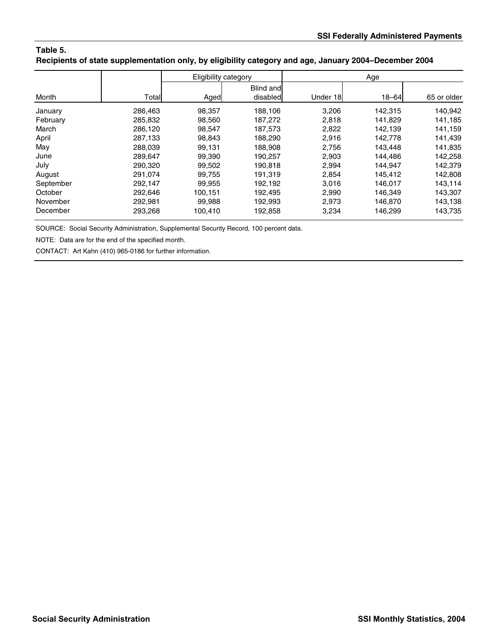### **Table 5. Recipients of state supplementation only, by eligibility category and age, January 2004–December 2004**

|           |         | Eligibility category |                       |          | Age       |             |
|-----------|---------|----------------------|-----------------------|----------|-----------|-------------|
| Month     | Total   | Aged                 | Blind and<br>disabled | Under 18 | $18 - 64$ | 65 or older |
| January   | 286,463 | 98,357               | 188.106               | 3,206    | 142,315   | 140,942     |
| February  | 285,832 | 98,560               | 187,272               | 2,818    | 141,829   | 141,185     |
| March     | 286.120 | 98,547               | 187,573               | 2,822    | 142.139   | 141,159     |
| April     | 287.133 | 98.843               | 188.290               | 2.916    | 142.778   | 141,439     |
| May       | 288.039 | 99.131               | 188,908               | 2.756    | 143,448   | 141,835     |
| June      | 289,647 | 99,390               | 190,257               | 2,903    | 144,486   | 142,258     |
| July      | 290.320 | 99,502               | 190,818               | 2,994    | 144.947   | 142,379     |
| August    | 291.074 | 99.755               | 191.319               | 2.854    | 145.412   | 142,808     |
| September | 292,147 | 99,955               | 192,192               | 3,016    | 146.017   | 143,114     |
| October   | 292.646 | 100.151              | 192.495               | 2,990    | 146.349   | 143,307     |
| November  | 292,981 | 99,988               | 192,993               | 2,973    | 146.870   | 143,138     |
| December  | 293,268 | 100,410              | 192,858               | 3,234    | 146,299   | 143,735     |

SOURCE: Social Security Administration, Supplemental Security Record, 100 percent data.

NOTE: Data are for the end of the specified month.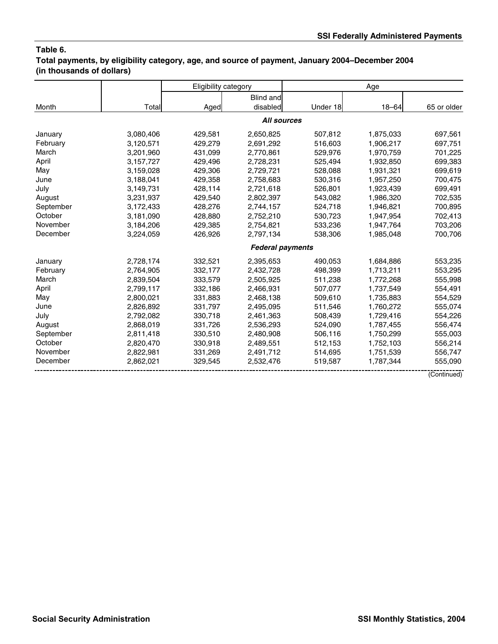### **Table 6. Total payments, by eligibility category, age, and source of payment, January 2004–December 2004 (in thousands of dollars)**

|           |           | Eligibility category |                         |          | Age       |             |
|-----------|-----------|----------------------|-------------------------|----------|-----------|-------------|
|           |           |                      | <b>Blind and</b>        |          |           |             |
| Month     | Total     | Aged                 | disabled                | Under 18 | $18 - 64$ | 65 or older |
|           |           |                      | <b>All sources</b>      |          |           |             |
| January   | 3,080,406 | 429,581              | 2,650,825               | 507,812  | 1,875,033 | 697,561     |
| February  | 3,120,571 | 429,279              | 2,691,292               | 516,603  | 1,906,217 | 697,751     |
| March     | 3,201,960 | 431,099              | 2,770,861               | 529,976  | 1,970,759 | 701,225     |
| April     | 3,157,727 | 429,496              | 2,728,231               | 525,494  | 1,932,850 | 699,383     |
| May       | 3,159,028 | 429,306              | 2,729,721               | 528,088  | 1,931,321 | 699,619     |
| June      | 3,188,041 | 429,358              | 2,758,683               | 530,316  | 1,957,250 | 700,475     |
| July      | 3,149,731 | 428,114              | 2,721,618               | 526,801  | 1,923,439 | 699,491     |
| August    | 3,231,937 | 429,540              | 2,802,397               | 543,082  | 1,986,320 | 702,535     |
| September | 3,172,433 | 428,276              | 2,744,157               | 524,718  | 1,946,821 | 700,895     |
| October   | 3,181,090 | 428,880              | 2,752,210               | 530,723  | 1,947,954 | 702,413     |
| November  | 3,184,206 | 429,385              | 2,754,821               | 533,236  | 1,947,764 | 703,206     |
| December  | 3,224,059 | 426,926              | 2,797,134               | 538,306  | 1,985,048 | 700,706     |
|           |           |                      | <b>Federal payments</b> |          |           |             |
| January   | 2,728,174 | 332,521              | 2,395,653               | 490,053  | 1,684,886 | 553,235     |
| February  | 2,764,905 | 332,177              | 2,432,728               | 498,399  | 1,713,211 | 553,295     |
| March     | 2,839,504 | 333,579              | 2,505,925               | 511,238  | 1,772,268 | 555,998     |
| April     | 2,799,117 | 332,186              | 2,466,931               | 507,077  | 1,737,549 | 554,491     |
| May       | 2,800,021 | 331,883              | 2,468,138               | 509,610  | 1,735,883 | 554,529     |
| June      | 2,826,892 | 331,797              | 2,495,095               | 511,546  | 1,760,272 | 555,074     |
| July      | 2,792,082 | 330,718              | 2,461,363               | 508,439  | 1,729,416 | 554,226     |
| August    | 2,868,019 | 331,726              | 2,536,293               | 524,090  | 1,787,455 | 556,474     |
| September | 2,811,418 | 330,510              | 2,480,908               | 506,116  | 1,750,299 | 555,003     |
| October   | 2,820,470 | 330,918              | 2,489,551               | 512,153  | 1,752,103 | 556,214     |
| November  | 2,822,981 | 331,269              | 2,491,712               | 514,695  | 1,751,539 | 556,747     |
| December  | 2,862,021 | 329,545              | 2,532,476               | 519,587  | 1,787,344 | 555,090     |
|           |           |                      |                         |          |           | (Continued) |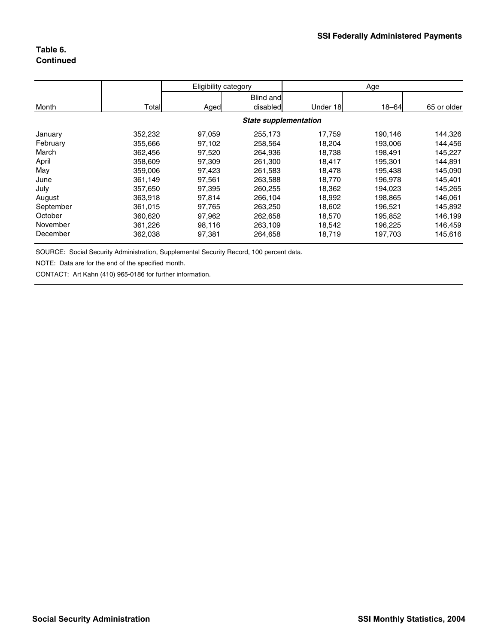# **Table 6. Continued**

|           |         | Eligibility category |                              | Age      |           |             |
|-----------|---------|----------------------|------------------------------|----------|-----------|-------------|
| Month     | Total   | Aged                 | Blind and<br>disabled        | Under 18 | $18 - 64$ | 65 or older |
|           |         |                      | <b>State supplementation</b> |          |           |             |
| January   | 352,232 | 97,059               | 255,173                      | 17,759   | 190,146   | 144,326     |
| February  | 355,666 | 97,102               | 258.564                      | 18,204   | 193,006   | 144,456     |
| March     | 362,456 | 97,520               | 264,936                      | 18,738   | 198,491   | 145,227     |
| April     | 358,609 | 97,309               | 261,300                      | 18,417   | 195,301   | 144,891     |
| May       | 359,006 | 97,423               | 261,583                      | 18,478   | 195,438   | 145,090     |
| June      | 361,149 | 97.561               | 263,588                      | 18,770   | 196,978   | 145,401     |
| July      | 357,650 | 97,395               | 260.255                      | 18,362   | 194,023   | 145,265     |
| August    | 363,918 | 97,814               | 266,104                      | 18,992   | 198,865   | 146,061     |
| September | 361,015 | 97,765               | 263,250                      | 18,602   | 196,521   | 145,892     |
| October   | 360,620 | 97,962               | 262,658                      | 18,570   | 195,852   | 146,199     |
| November  | 361,226 | 98,116               | 263,109                      | 18,542   | 196,225   | 146,459     |
| December  | 362,038 | 97,381               | 264,658                      | 18,719   | 197,703   | 145,616     |

SOURCE: Social Security Administration, Supplemental Security Record, 100 percent data.

NOTE: Data are for the end of the specified month.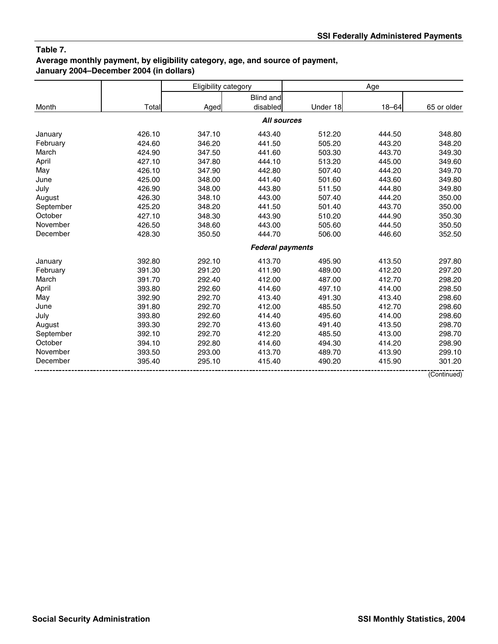# **Table 7. Average monthly payment, by eligibility category, age, and source of payment, January 2004–December 2004 (in dollars)**

|           |        | Eligibility category |                         |          | Age       |             |
|-----------|--------|----------------------|-------------------------|----------|-----------|-------------|
|           |        |                      | <b>Blind and</b>        |          |           |             |
| Month     | Total  | Aged                 | disabled                | Under 18 | $18 - 64$ | 65 or older |
|           |        |                      | <b>All sources</b>      |          |           |             |
| January   | 426.10 | 347.10               | 443.40                  | 512.20   | 444.50    | 348.80      |
| February  | 424.60 | 346.20               | 441.50                  | 505.20   | 443.20    | 348.20      |
| March     | 424.90 | 347.50               | 441.60                  | 503.30   | 443.70    | 349.30      |
| April     | 427.10 | 347.80               | 444.10                  | 513.20   | 445.00    | 349.60      |
| May       | 426.10 | 347.90               | 442.80                  | 507.40   | 444.20    | 349.70      |
| June      | 425.00 | 348.00               | 441.40                  | 501.60   | 443.60    | 349.80      |
| July      | 426.90 | 348.00               | 443.80                  | 511.50   | 444.80    | 349.80      |
| August    | 426.30 | 348.10               | 443.00                  | 507.40   | 444.20    | 350.00      |
| September | 425.20 | 348.20               | 441.50                  | 501.40   | 443.70    | 350.00      |
| October   | 427.10 | 348.30               | 443.90                  | 510.20   | 444.90    | 350.30      |
| November  | 426.50 | 348.60               | 443.00                  | 505.60   | 444.50    | 350.50      |
| December  | 428.30 | 350.50               | 444.70                  | 506.00   | 446.60    | 352.50      |
|           |        |                      | <b>Federal payments</b> |          |           |             |
| January   | 392.80 | 292.10               | 413.70                  | 495.90   | 413.50    | 297.80      |
| February  | 391.30 | 291.20               | 411.90                  | 489.00   | 412.20    | 297.20      |
| March     | 391.70 | 292.40               | 412.00                  | 487.00   | 412.70    | 298.20      |
| April     | 393.80 | 292.60               | 414.60                  | 497.10   | 414.00    | 298.50      |
| May       | 392.90 | 292.70               | 413.40                  | 491.30   | 413.40    | 298.60      |
| June      | 391.80 | 292.70               | 412.00                  | 485.50   | 412.70    | 298.60      |
| July      | 393.80 | 292.60               | 414.40                  | 495.60   | 414.00    | 298.60      |
| August    | 393.30 | 292.70               | 413.60                  | 491.40   | 413.50    | 298.70      |
| September | 392.10 | 292.70               | 412.20                  | 485.50   | 413.00    | 298.70      |
| October   | 394.10 | 292.80               | 414.60                  | 494.30   | 414.20    | 298.90      |
| November  | 393.50 | 293.00               | 413.70                  | 489.70   | 413.90    | 299.10      |
| December  | 395.40 | 295.10               | 415.40                  | 490.20   | 415.90    | 301.20      |
|           |        |                      |                         |          |           | (Continued) |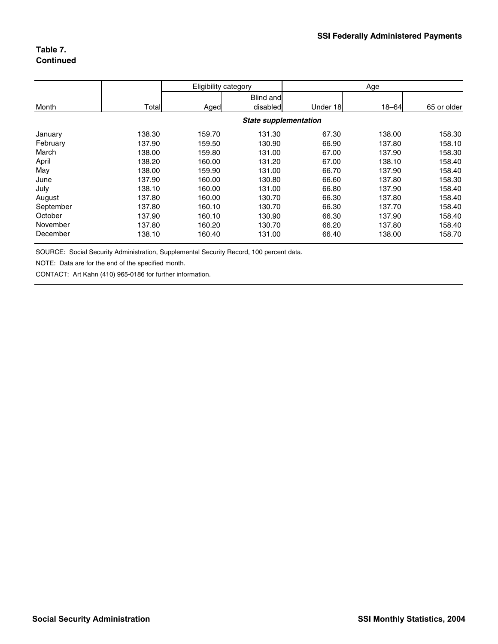# **Table 7. Continued**

|           |        | Eligibility category |                              |          | Age       |             |
|-----------|--------|----------------------|------------------------------|----------|-----------|-------------|
| Month     | Total  | Aged                 | <b>Blind and</b><br>disabled | Under 18 | $18 - 64$ | 65 or older |
|           |        |                      | <b>State supplementation</b> |          |           |             |
| January   | 138.30 | 159.70               | 131.30                       | 67.30    | 138.00    | 158.30      |
| February  | 137.90 | 159.50               | 130.90                       | 66.90    | 137.80    | 158.10      |
| March     | 138.00 | 159.80               | 131.00                       | 67.00    | 137.90    | 158.30      |
| April     | 138.20 | 160.00               | 131.20                       | 67.00    | 138.10    | 158.40      |
| May       | 138.00 | 159.90               | 131.00                       | 66.70    | 137.90    | 158.40      |
| June      | 137.90 | 160.00               | 130.80                       | 66.60    | 137.80    | 158.30      |
| July      | 138.10 | 160.00               | 131.00                       | 66.80    | 137.90    | 158.40      |
| August    | 137.80 | 160.00               | 130.70                       | 66.30    | 137.80    | 158.40      |
| September | 137.80 | 160.10               | 130.70                       | 66.30    | 137.70    | 158.40      |
| October   | 137.90 | 160.10               | 130.90                       | 66.30    | 137.90    | 158.40      |
| November  | 137.80 | 160.20               | 130.70                       | 66.20    | 137.80    | 158.40      |
| December  | 138.10 | 160.40               | 131.00                       | 66.40    | 138.00    | 158.70      |

SOURCE: Social Security Administration, Supplemental Security Record, 100 percent data.

NOTE: Data are for the end of the specified month.